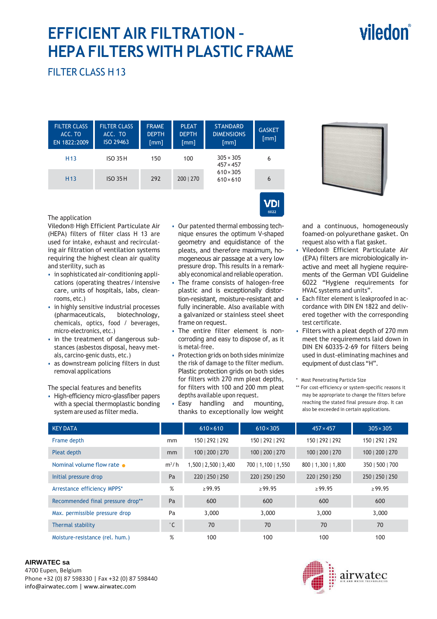# **EFFICIENT AIR FILTRATION – HEPA FILTERS WITH PLASTIC FRAME**

# viledon

## FILTER CLASS H 13

The application

and sterility, such as

rooms, etc.)

micro-electronics, etc.)

removal applications

als, carcino-genic dusts, etc.) • as downstream policing filters in dust

The special features and benefits • High-efficiency micro-glassfiber papers with a special thermoplastic bonding system are used as filter media.

Viledon® High Efficient Particulate Air (HEPA) filters of filter class H 13 are used for intake, exhaust and recirculating air filtration of ventilation systems requiring the highest clean air quality

• in sophisticated air-conditioning applications (operating theatres / intensive care, units of hospitals, labs, clean-

• in highly sensitive industrial processes (pharmaceuticals, biotechnology, chemicals, optics, food / beverages,

• in the treatment of dangerous substances (asbestos disposal, heavy met-

| <b>FILTER CLASS</b><br>ACC. TO<br>EN 1822:2009 | <b>FILTER CLASS</b><br>ACC. TO<br>ISO 29463 | <b>FRAME</b><br><b>DEPTH</b><br>[mm] | <b>PLEAT</b><br><b>DEPTH</b><br>[mm] | <b>STANDARD</b><br><b>DIMENSIONS</b><br>[mm] | <b>GASKET</b><br>[mm] |
|------------------------------------------------|---------------------------------------------|--------------------------------------|--------------------------------------|----------------------------------------------|-----------------------|
| H <sub>13</sub>                                | <b>ISO 35H</b>                              | 150                                  | 100                                  | $305 \times 305$<br>$457 \times 457$         | 6                     |
| H <sub>13</sub>                                | <b>ISO 35H</b>                              | 292                                  | 200   270                            | $610 \times 305$<br>$610 \times 610$         | 6                     |





and a continuous, homogeneously foamed-on polyurethane gasket. On request also with a flat gasket.

- Viledon® Efficient Particulate Air (EPA) filters are microbiologically inactive and meet all hygiene requirements of the German VDI Guideline 6022 "Hygiene requirements for HVAC systems and units".
- Each filter element is leakproofed in accordance with DIN EN 1822 and delivered together with the corresponding test certificate.
- Filters with a pleat depth of 270 mm meet the requirements laid down in DIN EN 60335-2-69 for filters being used in dust-eliminating machines and equipment of dust class "H".

\* Most Penetrating Particle Size

\*\* For cost-efficiency or system-specific reasons it may be appropriate to change the filters before reaching the stated final pressure drop. It can also be exceeded in certain applications.

| <b>KEY DATA</b>                   |                                  | $610\times610$  | $610 \times 305$    | $457 \times 457$    | $305 \times 305$ |
|-----------------------------------|----------------------------------|-----------------|---------------------|---------------------|------------------|
| Frame depth                       | mm                               | 150   292   292 | 150   292   292     | 150   292   292     | 150   292   292  |
| Pleat depth                       | mm                               | 100   200   270 | 100   200   270     | 100   200   270     | 100   200   270  |
| Nominal volume flow rate          | $m^3/h$<br>1,500   2,500   3,400 |                 | 700   1,100   1,550 | 800   1,300   1,800 | 350   500   700  |
| Initial pressure drop             | Pa                               | 220   250   250 | 220   250   250     | 220   250   250     | 250   250   250  |
| Arrestance efficiency MPPS*       | %                                | $\ge$ 99.95     | $\ge$ 99.95         | $\geq 99.95$        | $\ge$ 99.95      |
| Recommended final pressure drop** | Pa                               | 600             | 600                 | 600                 | 600              |
| Max. permissible pressure drop    | Pa                               | 3,000           | 3,000               | 3,000               | 3,000            |
| Thermal stability                 | $^{\circ}$ C                     | 70              | 70                  | 70                  | 70               |
| Moisture-resistance (rel. hum.)   | %                                | 100             | 100                 | 100                 | 100              |

#### **AIRWATEC sa**

4700 Eupen, Belgium Phone +32 (0) 87 598330 | Fax +32 (0) 87 598440 info@airwatec.com | www.airwatec.com



#### • Our patented thermal embossing technique ensures the optimum V-shaped geometry and equidistance of the pleats, and therefore maximum, homogeneous air passage at a very low pressure drop. This results in a remarkably economical and reliable operation.

- The frame consists of halogen-free plastic and is exceptionally distortion-resistant, moisture-resistant and fully incinerable. Also available with a galvanized or stainless steel sheet frame on request.
- The entire filter element is noncorroding and easy to dispose of, as it is metal-free.
- Protection grids on both sides minimize the risk of damage to the filter medium. Plastic protection grids on both sides for filters with 270 mm pleat depths, for filters with 100 and 200 mm pleat depths available upon request.
- Easy handling and mounting, thanks to exceptionally low weight